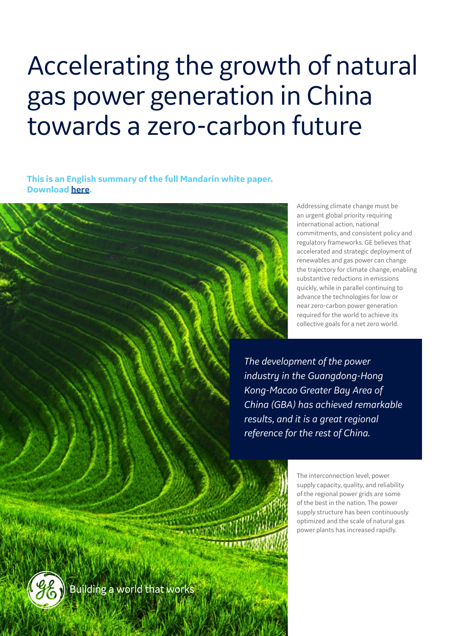# Accelerating the growth of natural gas power generation in China towards a zero-carbon future

**This is an English summary of the full Mandarin white paper. Download [here.](https://www.ge.com/content/dam/gepower-new/global/en_US/downloads/gas-new-site/future-of-energy/accelerating-chinas-energy-transition-mandarin.pdf)**

> Addressing climate change must be an urgent global priority requiring international action, national commitments, and consistent policy and regulatory frameworks. GE believes that accelerated and strategic deployment of renewables and gas power can change the trajectory for climate change, enabling substantive reductions in emissions quickly, while in parallel continuing to advance the technologies for low or near zero-carbon power generation required for the world to achieve its collective goals for a net zero world.

*The development of the power industry in the Guangdong-Hong Kong-Macao Greater Bay Area of China (GBA) has achieved remarkable results, and it is a great regional reference for the rest of China.*

> The interconnection level, power supply capacity, quality, and reliability of the regional power grids are some of the best in the nation. The power supply structure has been continuously optimized and the scale of natural gas power plants has increased rapidly.

(22) Building a world that works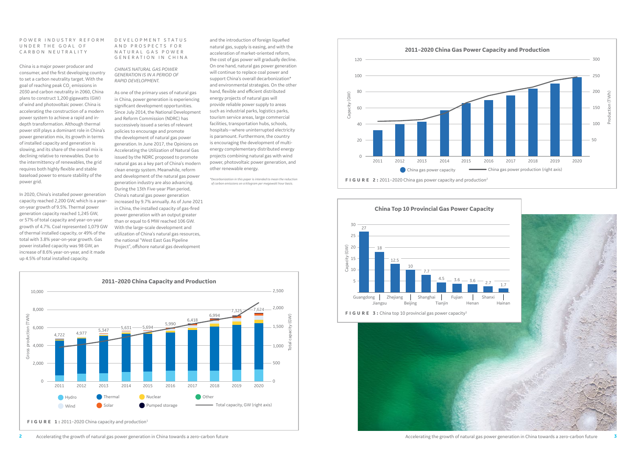#### P O W E R I N D U S T R Y R E F O R M UNDER THE GOAL OF CARBON NEUTRALITY

China is a major power producer and consumer, and the first developing country to set a carbon neutrality target. With the goal of reaching peak CO $_{\textrm{\tiny{2}}}$  emissions in 2030 and carbon neutrality in 2060, China plans to construct 1,200 gigawatts (GW) of wind and photovoltaic power. China is accelerating the construction of a modern power system to achieve a rapid and indepth transformation. Although thermal power still plays a dominant role in China's power generation mix, its growth in terms of installed capacity and generation is slowing, and its share of the overall mix is declining relative to renewables. Due to the intermittency of renewables, the grid requires both highly flexible and stable baseload power to ensure stability of the power grid.

In 2020, China's installed power generation capacity reached 2,200 GW, which is a yearon-year growth of 9.5%. Thermal power generation capacity reached 1,245 GW, or 57% of total capacity and year-on-year growth of 4.7%. Coal represented 1,079 GW of thermal installed capacity, or 49% of the total with 3.8% year-on-year growth. Gas power installed capacity was 98 GW, an increase of 8.6% year-on-year, and it made up 4.5% of total installed capacity.

#### D E V E L O P M E N T S T A T U S AND PROSPECTS FOR N A T U R A L G A S P O W E R GENERATION IN CHINA



**FIGURE 1:** 2011-2020 China capacity and production<sup>1</sup>









## *CHINA'S NATURAL GAS POWER GENERATION IS IN A PERIOD OF RAPID DEVELOPMENT.*

As one of the primary uses of natural gas in China, power generation is experiencing significant development opportunities. Since July 2014, the National Development and Reform Commission (NDRC) has successively issued a series of relevant policies to encourage and promote the development of natural gas power generation. In June 2017, the Opinions on Accelerating the Utilization of Natural Gas issued by the NDRC proposed to promote natural gas as a key part of China's modern clean energy system. Meanwhile, reform and development of the natural gas power generation industry are also advancing. During the 13th Five-year Plan period, China's natural gas power generation increased by 9.7% annually. As of June 2021 in China, the installed capacity of gas-fired power generation with an output greater than or equal to 6 MW reached 106 GW. With the large-scale development and utilization of China's natural gas resources, the national "West East Gas Pipeline Project", offshore natural gas development

*\*Decarbonization in this paper is intended to mean the reduction of carbon emissions on a kilogram per megawatt hour basis.*

and the introduction of foreign liquefied natural gas, supply is easing, and with the acceleration of market-oriented reform, the cost of gas power will gradually decline. On one hand, natural gas power generation will continue to replace coal power and support China's overall decarbonization\* and environmental strategies. On the other hand, flexible and efficient distributed energy projects of natural gas will provide reliable power supply to areas such as industrial parks, logistics parks, tourism service areas, large commercial facilities, transportation hubs, schools, hospitals—where uninterrupted electricity is paramount. Furthermore, the country is encouraging the development of multienergy complementary distributed energy projects combining natural gas with wind power, photovoltaic power generation, and other renewable energy.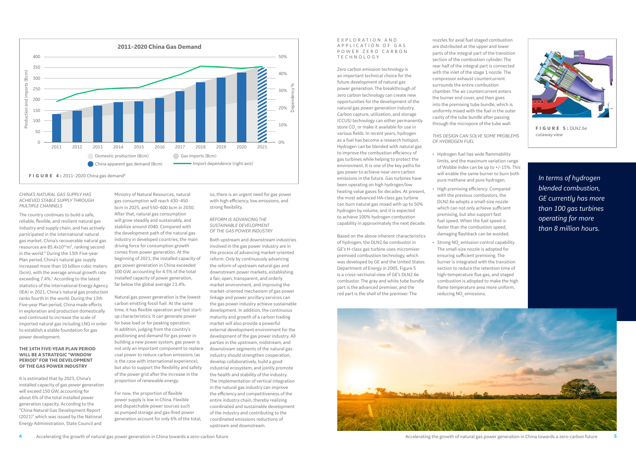#### *CHINA'S NATURAL GAS SUPPLY HAS ACHIEVED STABLE SUPPLY THROUGH MULTIPLE CHANNELS*

The country continues to build a safe, reliable, flexible, and resilient natural gas industry and supply chain, and has actively participated in the international natural gas market. China's recoverable natural gas resources are  $85.4 \times 10^{12}$ m<sup>3</sup>, ranking second in the world.<sup>4</sup> During the 13th Five-year Plan period, China's natural gas supply increased more than 10 billion cubic meters (bcm), with the average annual growth rate exceeding 7.4%.<sup>5</sup> According to the latest statistics of the International Energy Agency (IEA) in 2021, China's natural gas production ranks fourth in the world. During the 13th Five-year Plan period, China made efforts in exploration and production domestically and continued to increase the scale of imported natural gas including LNG in order to establish a stable foundation for gas power development.

#### **THE 14TH FIVE-YEAR PLAN PERIOD WILL BE A STRATEGIC "WINDOW PERIOD" FOR THE DEVELOPMENT OF THE GAS POWER INDUSTRY**

It is estimated that by 2025, China's installed capacity of gas power generation will exceed 150 GW, accounting for about 6% of the total installed power generation capacity. According to the "China Natural Gas Development Report (2021)" which was issued by the National Energy Administration, State Council and





Ministry of Natural Resources, natural gas consumption will reach 430–450 bcm in 2025, and 550–600 bcm in 2030. After that, natural gas consumption will grow steadily and sustainably, and stabilize around 2040. Compared with the development path of the natural gas industry in developed countries, the main driving force for consumption growth comes from power generation. At the beginning of 2021, the installed capacity of gas power generation in China exceeded 100 GW, accounting for 4.5% of the total installed capacity of power generation, far below the global average 23.4%.

## EXPLORATION AND A P P L I C A T I O N O F G A S POWER ZERO CARBON TECHNOLOGY

Natural gas power generation is the lowest carbon emitting fossil fuel. At the same time, it has flexible operation and fast startup characteristics. It can generate power for base load or for peaking operation. In addition, judging from the country's positioning and demand for gas power in building a new power system, gas power is not only an important component to replace coal power to reduce carbon emissions (as is the case with international experience), but also to support the flexibility and safety of the power grid after the increase in the proportion of renewable energy.

For now, the proportion of flexible power supply is low in China. Flexible and dispatchable power sources such as pumped storage and gas-fired power generation account for only 6% of the total, so, there is an urgent need for gas power with high efficiency, low emissions, and strong flexibility.

- Hydrogen fuel has wide flammability limits, and the maximum variation range of Wobbe index can be up to +/-15%. This will enable the same burner to burn both pure methane and pure hydrogen.
- High premixing efficiency. Compared with the previous combustors, the DLN2.6e adopts a small-size nozzle which can not only achieve sufficient premixing, but also support fast fuel speed. When the fuel speed is faster than the combustion speed,
- Strong  $NO<sub>x</sub>$  emission control capability. The small-size nozzle is adopted for ensuring sufficient premixing. The burner is integrated with the transition section to reduce the retention time of high-temperature flue gas, and staged combustion is adopted to make the high flame temperature area more uniform, reducing NO<sub>x</sub> emissions.



#### *REFORM IS ADVANCING THE SUSTAINABLE DEVELOPMENT OF THE GAS POWER INDUSTRY*

Both upstream and downstream industries involved in the gas power industry are in the process of advancing market-oriented reform. Only by continuously advancing the reform of upstream natural gas and downstream power markets, establishing a fair, open, transparent, and orderly market environment, and improving the market-oriented mechanism of gas power linkage and power ancillary services can the gas power industry achieve sustainable development. In addition, the continuous maturity and growth of a carbon trading market will also provide a powerful external development environment for the development of the gas power industry. All parties in the upstream, midstream, and downstream segments of the natural gas industry should strengthen cooperation, develop collaboratively, build a good industrial ecosystem, and jointly promote the health and stability of the industry. The implementation of vertical integration in the natural gas industry can improve the efficiency and competitiveness of the entire industry chain, thereby realizing coordinated and sustainable development of the industry and contributing to the coordinated emissions reductions of upstream and downstream.

Zero carbon emission technology is an important technical choice for the future development of natural gas power generation. The breakthrough of zero carbon technology can create new opportunities for the development of the natural gas power generation industry. Carbon capture, utilization, and storage (CCUS) technology can either permanently store  $\mathrm{CO}_2$  or make it available for use in various fields. In recent years, hydrogen as a fuel has become a research hotspot. Hydrogen can be blended with natural gas to improve the combustion efficiency of gas turbines while helping to protect the environment. It is one of the key paths for gas power to achieve near-zero carbon emissions in the future. Gas turbines have been operating on high hydrogen/low heating value gases for decades. At present, the most advanced HA-class gas turbine can burn natural gas mixed with up to 50% hydrogen by volume, and it is expected to achieve 100% hydrogen combustion capability in approximately the next decade.

Based on the above inherent characteristics of hydrogen, the DLN2.6e combustor in GE's H-class gas turbine uses micromixer premixed combustion technology, which was developed by GE and the United States Department of Energy in 2005. Figure 5 is a cross-sectional view of GE's DLN2.6e combustor. The gray and white tube bundle part is the advanced premixer, and the red part is the shell of the premixer. The

nozzles for axial fuel staged combustion are distributed at the upper and lower parts of the integral part of the transition section of the combustion cylinder. The rear half of the integral part is connected with the inlet of the stage 1 nozzle. The compressor exhaust countercurrent surrounds the entire combustion chamber. The air countercurrent enters the burner end cover, and then goes into the premixing tube bundle, which is uniformly mixed with the fuel in the outer cavity of the tube bundle after passing through the micropore of the tube wall.

# *THIS DESIGN CAN SOLVE SOME PROBLEMS OF HYDROGEN FUEL*

damaging flashback can be avoided.

*In terms of hydrogen blended combustion, GE currently has more than 100 gas turbines operating for more than 8 million hours.*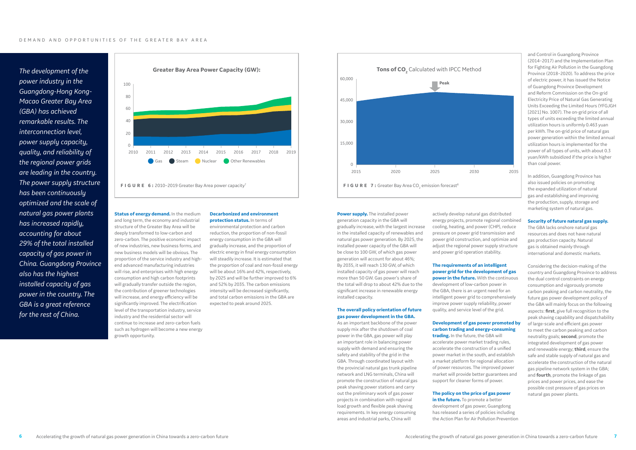*The development of the power industry in the Guangdong-Hong Kong-Macao Greater Bay Area (GBA) has achieved remarkable results. The interconnection level, power supply capacity, quality, and reliability of the regional power grids are leading in the country. The power supply structure has been continuously optimized and the scale of natural gas power plants has increased rapidly, accounting for about 29% of the total installed capacity of gas power in China. Guangdong Province also has the highest installed capacity of gas power in the country. The GBA is a great reference for the rest of China.*



**FIGURE 6:** 2010–2019 Greater Bay Area power capacity<sup>7</sup>

**Status of energy demand.** In the medium and long term, the economy and industrial structure of the Greater Bay Area will be deeply transformed to low-carbon and zero-carbon. The positive economic impact of new industries, new business forms, and new business models will be obvious. The proportion of the service industry and highend advanced manufacturing industries will rise, and enterprises with high energy consumption and high carbon footprints will gradually transfer outside the region. the contribution of greener technologies will increase, and energy efficiency will be significantly improved. The electrification level of the transportation industry, service industry and the residential sector will continue to increase and zero-carbon fuels such as hydrogen will become a new energy growth opportunity.



**Power supply.** The installed power generation capacity in the GBA will gradually increase, with the largest increase in the installed capacity of renewables and natural gas power generation. By 2025, the installed power capacity of the GBA will be close to 100 GW, of which gas power generation will account for about 46%; By 2035, it will reach 130 GW, of which installed capacity of gas power will reach more than 50 GW. Gas power's share of the total will drop to about 42% due to the significant increase in renewable energy installed capacity.

# **Decarbonized and environment**

**protection status.** In terms of environmental protection and carbon reduction, the proportion of non-fossil energy consumption in the GBA will gradually increase, and the proportion of electric energy in final energy consumption will steadily increase. It is estimated that the proportion of coal and non-fossil energy will be about 16% and 42%, respectively, by 2025 and will be further improved to 6% and 52% by 2035. The carbon emissions intensity will be decreased significantly, and total carbon emissions in the GBA are expected to peak around 2025.

## **The overall policy orientation of future gas power development in the GBA.**

As an important backbone of the power supply mix after the shutdown of coal power in the GBA, gas power will play an important role in balancing power supply with demand and ensuring the safety and stability of the grid in the GBA. Through coordinated layout with the provincial natural gas trunk pipeline network and LNG terminals, China will promote the construction of natural gas peak shaving power stations and carry out the preliminary work of gas power projects in combination with regional load growth and flexible peak shaving requirements. In key energy consuming areas and industrial parks, China will

actively develop natural gas distributed energy projects, promote regional combined cooling, heating, and power (CHP), reduce pressure on power grid transmission and power grid construction, and optimize and adjust the regional power supply structure and power grid operation stability.

# **The requirements of an intelligent power grid for the development of gas power in the future.** With the continuous

development of low-carbon power in the GBA, there is an urgent need for an intelligent power grid to comprehensively improve power supply reliability, power quality, and service level of the grid.

# **Development of gas power promoted by carbon trading and energy-consuming**

**trading.** In the future, the GBA will accelerate power market trading rules, accelerate the construction of a unified power market in the south, and establish a market platform for regional allocation of power resources. The improved power market will provide better guarantees and support for cleaner forms of power.

# **The policy on the price of gas power**

**in the future.** To promote a better development of gas power, Guangdong has released a series of policies including the Action Plan for Air Pollution Prevention

and Control in Guangdong Province (2014–2017) and the Implementation Plan for Fighting Air Pollution in the Guangdong Province (2018–2020). To address the price of electric power, it has issued the Notice of Guangdong Province Development and Reform Commission on the On-grid Electricity Price of Natural Gas Generating Units Exceeding the Limited Hours (YFGJGH [2021] No. 1007). The on-grid price of all types of units exceeding the limited annual utilization hours is uniformly 0.463 yuan per kWh. The on-grid price of natural gas power generation within the limited annual utilization hours is implemented for the power of all types of units, with about 0.3 yuan/kWh subsidized if the price is higher than coal power.

In addition, Guangdong Province has also issued policies on promoting the expanded utilization of natural gas and establishing and improving the production, supply, storage and marketing system of natural gas.

# **Security of future natural gas supply.**

The GBA lacks onshore natural gas resources and does not have natural gas production capacity. Natural gas is obtained mainly through international and domestic markets.

Considering the decision-making of the country and Guangdong Province to address the dual control constraints on energy consumption and vigorously promote carbon peaking and carbon neutrality, the future gas power development policy of the GBA will mainly focus on the following aspects: **first**, give full recognition to the peak shaving capability and dispatchability of large-scale and efficient gas power to meet the carbon peaking and carbon neutrality goals; **second**, promote the integrated development of gas power and renewable energy; **third**, ensure the safe and stable supply of natural gas and accelerate the construction of the natural gas pipeline network system in the GBA; and **fourth**, promote the linkage of gas prices and power prices, and ease the possible cost pressure of gas prices on natural gas power plants.